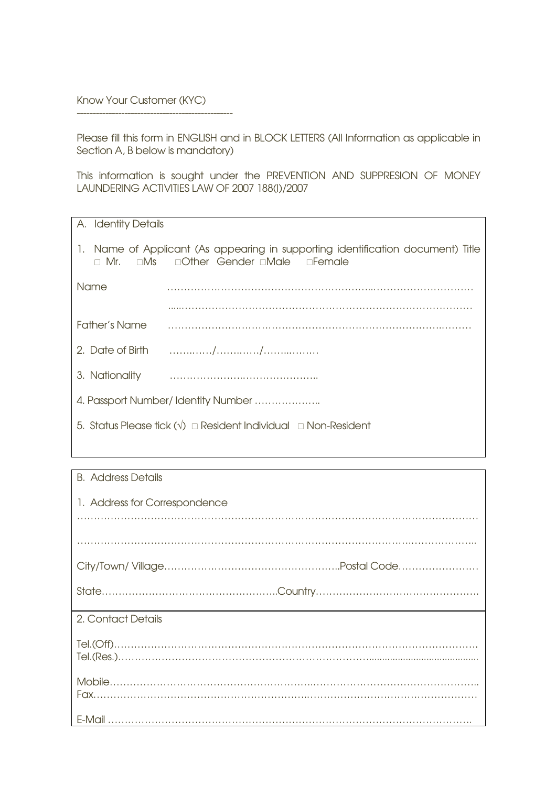Know Your Customer (KYC)

-------------------------------------------------

Please fill this form in ENGLISH and in BLOCK LETTERS (All Information as applicable in Section A, B below is mandatory)

This information is sought under the PREVENTION AND SUPPRESION OF MONEY LAUNDERING ACTIVITIES LAW OF 2007 188(I)/2007

| A. Identity Details                                                                 |                                                                                                                                                                                                                                                                                                                                                                                                                                                                                             |
|-------------------------------------------------------------------------------------|---------------------------------------------------------------------------------------------------------------------------------------------------------------------------------------------------------------------------------------------------------------------------------------------------------------------------------------------------------------------------------------------------------------------------------------------------------------------------------------------|
|                                                                                     | 1. Name of Applicant (As appearing in supporting identification document) Title<br><b>D Mr.</b> DMs Dother Gender DMale DFemale                                                                                                                                                                                                                                                                                                                                                             |
| Name                                                                                |                                                                                                                                                                                                                                                                                                                                                                                                                                                                                             |
|                                                                                     |                                                                                                                                                                                                                                                                                                                                                                                                                                                                                             |
| Father's Name                                                                       |                                                                                                                                                                                                                                                                                                                                                                                                                                                                                             |
|                                                                                     |                                                                                                                                                                                                                                                                                                                                                                                                                                                                                             |
| 3. Nationality                                                                      | $\begin{minipage}{.4\linewidth} \begin{tabular}{l} \multicolumn{1}{l}{} & \multicolumn{1}{l}{} & \multicolumn{1}{l}{} & \multicolumn{1}{l}{} \\ \multicolumn{1}{l}{} & \multicolumn{1}{l}{} & \multicolumn{1}{l}{} & \multicolumn{1}{l}{} \\ \multicolumn{1}{l}{} & \multicolumn{1}{l}{} & \multicolumn{1}{l}{} & \multicolumn{1}{l}{} \\ \multicolumn{1}{l}{} & \multicolumn{1}{l}{} & \multicolumn{1}{l}{} & \multicolumn{1}{l}{} \\ \multicolumn{1}{l}{} & \multicolumn{1}{l}{} & \mult$ |
| 4. Passport Number/Identity Number                                                  |                                                                                                                                                                                                                                                                                                                                                                                                                                                                                             |
| 5. Status Please tick $(\sqrt{})\square$ Resident Individual $\square$ Non-Resident |                                                                                                                                                                                                                                                                                                                                                                                                                                                                                             |
|                                                                                     |                                                                                                                                                                                                                                                                                                                                                                                                                                                                                             |

## B. Address Details

| 1. Address for Correspondence                                                                                                                                                                                                                                                                                                                                                                                                                                                        |
|--------------------------------------------------------------------------------------------------------------------------------------------------------------------------------------------------------------------------------------------------------------------------------------------------------------------------------------------------------------------------------------------------------------------------------------------------------------------------------------|
|                                                                                                                                                                                                                                                                                                                                                                                                                                                                                      |
|                                                                                                                                                                                                                                                                                                                                                                                                                                                                                      |
|                                                                                                                                                                                                                                                                                                                                                                                                                                                                                      |
| 2. Contact Details                                                                                                                                                                                                                                                                                                                                                                                                                                                                   |
| $\text{Tel.}(\text{Off})\text{.\ } \ldots\text{.\ } \ldots\text{.\ } \ldots\text{.\ } \ldots\text{.\ } \ldots\text{.\ } \ldots\text{.\ } \ldots\text{.\ } \ldots\text{.\ } \ldots\text{.\ } \ldots\text{.\ } \ldots\text{.\ } \ldots\text{.\ } \ldots\text{.\ } \ldots\text{.\ } \ldots\text{.\ } \ldots\text{.\ } \ldots\text{.\ } \ldots\text{.\ } \ldots\text{.\ } \ldots\text{.\ } \ldots\text{.\ } \ldots\text{.\ } \ldots\text{.\ } \ldots\text{.\ } \ldots\text{.\ } \ldots\$ |
|                                                                                                                                                                                                                                                                                                                                                                                                                                                                                      |
|                                                                                                                                                                                                                                                                                                                                                                                                                                                                                      |